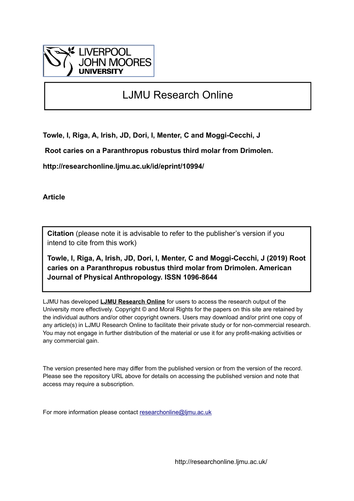

# LJMU Research Online

**Towle, I, Riga, A, Irish, JD, Dori, I, Menter, C and Moggi-Cecchi, J**

 **Root caries on a Paranthropus robustus third molar from Drimolen.**

**http://researchonline.ljmu.ac.uk/id/eprint/10994/**

**Article**

**Citation** (please note it is advisable to refer to the publisher's version if you intend to cite from this work)

**Towle, I, Riga, A, Irish, JD, Dori, I, Menter, C and Moggi-Cecchi, J (2019) Root caries on a Paranthropus robustus third molar from Drimolen. American Journal of Physical Anthropology. ISSN 1096-8644** 

LJMU has developed **[LJMU Research Online](http://researchonline.ljmu.ac.uk/)** for users to access the research output of the University more effectively. Copyright © and Moral Rights for the papers on this site are retained by the individual authors and/or other copyright owners. Users may download and/or print one copy of any article(s) in LJMU Research Online to facilitate their private study or for non-commercial research. You may not engage in further distribution of the material or use it for any profit-making activities or any commercial gain.

The version presented here may differ from the published version or from the version of the record. Please see the repository URL above for details on accessing the published version and note that access may require a subscription.

For more information please contact [researchonline@ljmu.ac.uk](mailto:researchonline@ljmu.ac.uk)

http://researchonline.ljmu.ac.uk/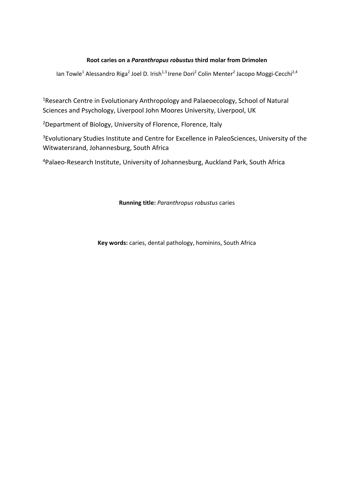# **Root caries on a** *Paranthropus robustus* **third molar from Drimolen**

lan Towle<sup>1</sup> Alessandro Riga<sup>2</sup> Joel D. Irish<sup>1,3</sup> Irene Dori<sup>2</sup> Colin Menter<sup>2</sup> Jacopo Moggi-Cecchi<sup>2,4</sup>

1 Research Centre in Evolutionary Anthropology and Palaeoecology, School of Natural Sciences and Psychology, Liverpool John Moores University, Liverpool, UK

<sup>2</sup>Department of Biology, University of Florence, Florence, Italy

<sup>3</sup>Evolutionary Studies Institute and Centre for Excellence in PaleoSciences, University of the Witwatersrand, Johannesburg, South Africa

4Palaeo‐Research Institute, University of Johannesburg, Auckland Park, South Africa

# **Running title:** *Paranthropus robustus* caries

**Key words:** caries, dental pathology, hominins, South Africa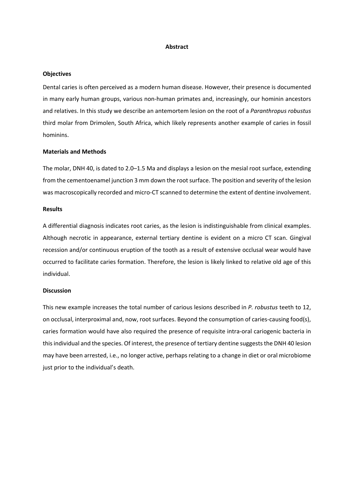#### **Abstract**

## **Objectives**

Dental caries is often perceived as a modern human disease. However, their presence is documented in many early human groups, various non‐human primates and, increasingly, our hominin ancestors and relatives. In this study we describe an antemortem lesion on the root of a *Paranthropus robustus* third molar from Drimolen, South Africa, which likely represents another example of caries in fossil hominins.

#### **Materials and Methods**

The molar, DNH 40, is dated to 2.0–1.5 Ma and displays a lesion on the mesial root surface, extending from the cementoenamel junction 3 mm down the root surface. The position and severity of the lesion was macroscopically recorded and micro-CT scanned to determine the extent of dentine involvement.

## **Results**

A differential diagnosis indicates root caries, as the lesion is indistinguishable from clinical examples. Although necrotic in appearance, external tertiary dentine is evident on a micro CT scan. Gingival recession and/or continuous eruption of the tooth as a result of extensive occlusal wear would have occurred to facilitate caries formation. Therefore, the lesion is likely linked to relative old age of this individual.

#### **Discussion**

This new example increases the total number of carious lesions described in *P. robustus* teeth to 12, on occlusal, interproximal and, now, root surfaces. Beyond the consumption of caries‐causing food(s), caries formation would have also required the presence of requisite intra-oral cariogenic bacteria in this individual and the species. Of interest, the presence of tertiary dentine suggests the DNH 40 lesion may have been arrested, i.e., no longer active, perhaps relating to a change in diet or oral microbiome just prior to the individual's death.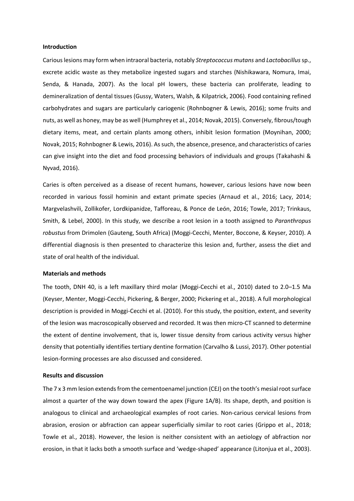#### **Introduction**

Carious lesions may form when intraoral bacteria, notably *Streptococcus mutans* and *Lactobacillus* sp., excrete acidic waste as they metabolize ingested sugars and starches (Nishikawara, Nomura, Imai, Senda, & Hanada, 2007). As the local pH lowers, these bacteria can proliferate, leading to demineralization of dental tissues (Gussy, Waters, Walsh, & Kilpatrick, 2006). Food containing refined carbohydrates and sugars are particularly cariogenic (Rohnbogner & Lewis, 2016); some fruits and nuts, as well as honey, may be as well (Humphrey et al., 2014; Novak, 2015). Conversely, fibrous/tough dietary items, meat, and certain plants among others, inhibit lesion formation (Moynihan, 2000; Novak, 2015; Rohnbogner & Lewis, 2016). As such, the absence, presence, and characteristics of caries can give insight into the diet and food processing behaviors of individuals and groups (Takahashi & Nyvad, 2016).

Caries is often perceived as a disease of recent humans, however, carious lesions have now been recorded in various fossil hominin and extant primate species (Arnaud et al., 2016; Lacy, 2014; Margvelashvili, Zollikofer, Lordkipanidze, Tafforeau, & Ponce de León, 2016; Towle, 2017; Trinkaus, Smith, & Lebel, 2000). In this study, we describe a root lesion in a tooth assigned to *Paranthropus robustus* from Drimolen (Gauteng, South Africa) (Moggi‐Cecchi, Menter, Boccone, & Keyser, 2010). A differential diagnosis is then presented to characterize this lesion and, further, assess the diet and state of oral health of the individual.

# **Materials and methods**

The tooth, DNH 40, is a left maxillary third molar (Moggi‐Cecchi et al., 2010) dated to 2.0–1.5 Ma (Keyser, Menter, Moggi‐Cecchi, Pickering, & Berger, 2000; Pickering et al., 2018). A full morphological description is provided in Moggi‐Cecchi et al. (2010). For this study, the position, extent, and severity of the lesion was macroscopically observed and recorded. It was then micro‐CT scanned to determine the extent of dentine involvement, that is, lower tissue density from carious activity versus higher density that potentially identifies tertiary dentine formation (Carvalho & Lussi, 2017). Other potential lesion‐forming processes are also discussed and considered.

## **Results and discussion**

The 7 x 3 mm lesion extends from the cementoenamel junction (CEJ) on the tooth's mesial root surface almost a quarter of the way down toward the apex (Figure 1A/B). Its shape, depth, and position is analogous to clinical and archaeological examples of root caries. Non-carious cervical lesions from abrasion, erosion or abfraction can appear superficially similar to root caries (Grippo et al., 2018; Towle et al., 2018). However, the lesion is neither consistent with an aetiology of abfraction nor erosion, in that it lacks both a smooth surface and 'wedge‐shaped' appearance (Litonjua et al., 2003).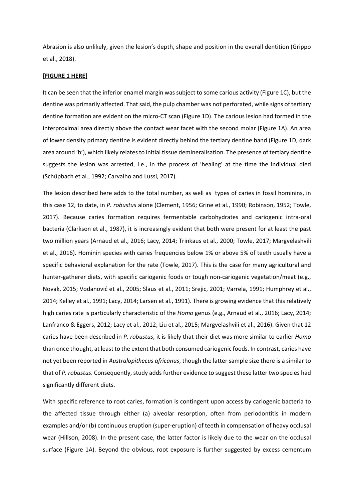Abrasion is also unlikely, given the lesion's depth, shape and position in the overall dentition (Grippo et al., 2018).

## **[FIGURE 1 HERE]**

It can be seen that the inferior enamel margin was subject to some carious activity (Figure 1C), but the dentine was primarily affected. That said, the pulp chamber was not perforated, while signs of tertiary dentine formation are evident on the micro-CT scan (Figure 1D). The carious lesion had formed in the interproximal area directly above the contact wear facet with the second molar (Figure 1A). An area of lower density primary dentine is evident directly behind the tertiary dentine band (Figure 1D, dark area around 'b'), which likely relates to initial tissue demineralisation. The presence of tertiary dentine suggests the lesion was arrested, i.e., in the process of 'healing' at the time the individual died (Schüpbach et al., 1992; Carvalho and Lussi, 2017).

The lesion described here adds to the total number, as well as types of caries in fossil hominins, in this case 12, to date, in *P. robustus* alone (Clement, 1956; Grine et al., 1990; Robinson, 1952; Towle, 2017). Because caries formation requires fermentable carbohydrates and cariogenic intra‐oral bacteria (Clarkson et al., 1987), it is increasingly evident that both were present for at least the past two million years (Arnaud et al., 2016; Lacy, 2014; Trinkaus et al., 2000; Towle, 2017; Margvelashvili et al., 2016). Hominin species with caries frequencies below 1% or above 5% of teeth usually have a specific behavioral explanation for the rate (Towle, 2017). This is the case for many agricultural and hunter-gatherer diets, with specific cariogenic foods or tough non-cariogenic vegetation/meat (e.g., Novak, 2015; Vodanović et al., 2005; Slaus et al., 2011; Srejic, 2001; Varrela, 1991; Humphrey et al., 2014; Kelley et al., 1991; Lacy, 2014; Larsen et al., 1991). There is growing evidence that this relatively high caries rate is particularly characteristic of the *Homo* genus (e.g., Arnaud et al., 2016; Lacy, 2014; Lanfranco & Eggers, 2012; Lacy et al., 2012; Liu et al., 2015; Margvelashvili et al., 2016). Given that 12 caries have been described in *P. robustus*, it is likely that their diet was more similar to earlier *Homo* than once thought, at least to the extent that both consumed cariogenic foods. In contrast, caries have not yet been reported in *Australopithecus africanus*, though the latter sample size there is a similar to that of *P. robustus*. Consequently, study adds further evidence to suggest these latter two species had significantly different diets.

With specific reference to root caries, formation is contingent upon access by cariogenic bacteria to the affected tissue through either (a) alveolar resorption, often from periodontitis in modern examples and/or (b) continuous eruption (super‐eruption) of teeth in compensation of heavy occlusal wear (Hillson, 2008). In the present case, the latter factor is likely due to the wear on the occlusal surface (Figure 1A). Beyond the obvious, root exposure is further suggested by excess cementum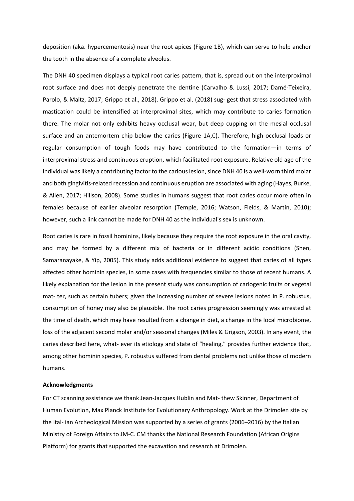deposition (aka. hypercementosis) near the root apices (Figure 1B), which can serve to help anchor the tooth in the absence of a complete alveolus.

The DNH 40 specimen displays a typical root caries pattern, that is, spread out on the interproximal root surface and does not deeply penetrate the dentine (Carvalho & Lussi, 2017; Damé‐Teixeira, Parolo, & Maltz, 2017; Grippo et al., 2018). Grippo et al. (2018) sug‐ gest that stress associated with mastication could be intensified at interproximal sites, which may contribute to caries formation there. The molar not only exhibits heavy occlusal wear, but deep cupping on the mesial occlusal surface and an antemortem chip below the caries (Figure 1A,C). Therefore, high occlusal loads or regular consumption of tough foods may have contributed to the formation—in terms of interproximal stress and continuous eruption, which facilitated root exposure. Relative old age of the individual was likely a contributing factor to the carious lesion, since DNH 40 is a well-worn third molar and both gingivitis-related recession and continuous eruption are associated with aging (Hayes, Burke, & Allen, 2017; Hillson, 2008). Some studies in humans suggest that root caries occur more often in females because of earlier alveolar resorption (Temple, 2016; Watson, Fields, & Martin, 2010); however, such a link cannot be made for DNH 40 as the individual's sex is unknown.

Root caries is rare in fossil hominins, likely because they require the root exposure in the oral cavity, and may be formed by a different mix of bacteria or in different acidic conditions (Shen, Samaranayake, & Yip, 2005). This study adds additional evidence to suggest that caries of all types affected other hominin species, in some cases with frequencies similar to those of recent humans. A likely explanation for the lesion in the present study was consumption of cariogenic fruits or vegetal mat- ter, such as certain tubers; given the increasing number of severe lesions noted in P. robustus, consumption of honey may also be plausible. The root caries progression seemingly was arrested at the time of death, which may have resulted from a change in diet, a change in the local microbiome, loss of the adjacent second molar and/or seasonal changes (Miles & Grigson, 2003). In any event, the caries described here, what- ever its etiology and state of "healing," provides further evidence that, among other hominin species, P. robustus suffered from dental problems not unlike those of modern humans.

# **Acknowledgments**

For CT scanning assistance we thank Jean‐Jacques Hublin and Mat‐ thew Skinner, Department of Human Evolution, Max Planck Institute for Evolutionary Anthropology. Work at the Drimolen site by the Ital- ian Archeological Mission was supported by a series of grants (2006–2016) by the Italian Ministry of Foreign Affairs to JM‐C. CM thanks the National Research Foundation (African Origins Platform) for grants that supported the excavation and research at Drimolen.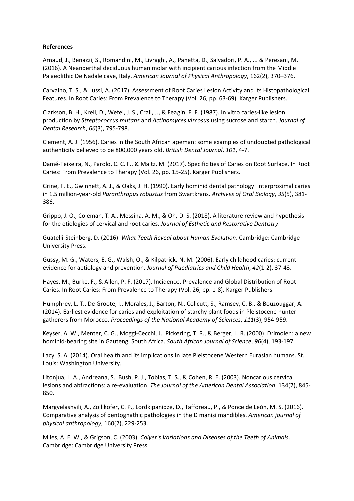# **References**

Arnaud, J., Benazzi, S., Romandini, M., Livraghi, A., Panetta, D., Salvadori, P. A., ... & Peresani, M. (2016). A Neanderthal deciduous human molar with incipient carious infection from the Middle Palaeolithic De Nadale cave, Italy. *American Journal of Physical Anthropology*, 162(2), 370–376.

Carvalho, T. S., & Lussi, A. (2017). Assessment of Root Caries Lesion Activity and Its Histopathological Features. In Root Caries: From Prevalence to Therapy (Vol. 26, pp. 63‐69). Karger Publishers.

Clarkson, B. H., Krell, D., Wefel, J. S., Crall, J., & Feagin, F. F. (1987). In vitro caries‐like lesion production by *Streptococcus mutans* and *Actinomyces viscosus* using sucrose and starch. *Journal of Dental Research*, *66*(3), 795‐798.

Clement, A. J. (1956). Caries in the South African apeman: some examples of undoubted pathological authenticity believed to be 800,000 years old. *British Dental Journal*, *101*, 4‐7.

Damé‐Teixeira, N., Parolo, C. C. F., & Maltz, M. (2017). Specificities of Caries on Root Surface. In Root Caries: From Prevalence to Therapy (Vol. 26, pp. 15‐25). Karger Publishers.

Grine, F. E., Gwinnett, A. J., & Oaks, J. H. (1990). Early hominid dental pathology: interproximal caries in 1.5 million‐year‐old *Paranthropus robustus* from Swartkrans. *Archives of Oral Biology*, *35*(5), 381‐ 386.

Grippo, J. O., Coleman, T. A., Messina, A. M., & Oh, D. S. (2018). A literature review and hypothesis for the etiologies of cervical and root caries. *Journal of Esthetic and Restorative Dentistry*.

Guatelli‐Steinberg, D. (2016). *What Teeth Reveal about Human Evolution*. Cambridge: Cambridge University Press.

Gussy, M. G., Waters, E. G., Walsh, O., & Kilpatrick, N. M. (2006). Early childhood caries: current evidence for aetiology and prevention. *Journal of Paediatrics and Child Health*, *42*(1‐2), 37‐43.

Hayes, M., Burke, F., & Allen, P. F. (2017). Incidence, Prevalence and Global Distribution of Root Caries. In Root Caries: From Prevalence to Therapy (Vol. 26, pp. 1‐8). Karger Publishers.

Humphrey, L. T., De Groote, I., Morales, J., Barton, N., Collcutt, S., Ramsey, C. B., & Bouzouggar, A. (2014). Earliest evidence for caries and exploitation of starchy plant foods in Pleistocene hunter‐ gatherers from Morocco. *Proceedings of the National Academy of Sciences*, *111*(3), 954‐959.

Keyser, A. W., Menter, C. G., Moggi‐Cecchi, J., Pickering, T. R., & Berger, L. R. (2000). Drimolen: a new hominid‐bearing site in Gauteng, South Africa. *South African Journal of Science*, *96*(4), 193‐197.

Lacy, S. A. (2014). Oral health and its implications in late Pleistocene Western Eurasian humans. St. Louis: Washington University.

Litonjua, L. A., Andreana, S., Bush, P. J., Tobias, T. S., & Cohen, R. E. (2003). Noncarious cervical lesions and abfractions: a re‐evaluation. *The Journal of the American Dental Association*, 134(7), 845‐ 850.

Margvelashvili, A., Zollikofer, C. P., Lordkipanidze, D., Tafforeau, P., & Ponce de León, M. S. (2016). Comparative analysis of dentognathic pathologies in the D manisi mandibles. *American journal of physical anthropology*, 160(2), 229‐253.

Miles, A. E. W., & Grigson, C. (2003). *Colyer's Variations and Diseases of the Teeth of Animals*. Cambridge: Cambridge University Press.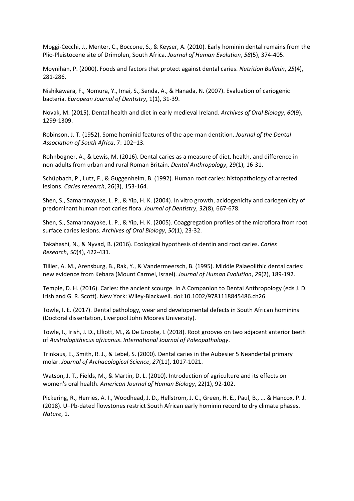Moggi‐Cecchi, J., Menter, C., Boccone, S., & Keyser, A. (2010). Early hominin dental remains from the Plio‐Pleistocene site of Drimolen, South Africa. *Journal of Human Evolution*, *58*(5), 374‐405.

Moynihan, P. (2000). Foods and factors that protect against dental caries. *Nutrition Bulletin*, *25*(4), 281‐286.

Nishikawara, F., Nomura, Y., Imai, S., Senda, A., & Hanada, N. (2007). Evaluation of cariogenic bacteria. *European Journal of Dentistry*, 1(1), 31‐39.

Novak, M. (2015). Dental health and diet in early medieval Ireland. *Archives of Oral Biology*, *60*(9), 1299‐1309.

Robinson, J. T. (1952). Some hominid features of the ape‐man dentition. *Journal of the Dental Association of South Africa*, 7: 102–13.

Rohnbogner, A., & Lewis, M. (2016). Dental caries as a measure of diet, health, and difference in non‐adults from urban and rural Roman Britain. *Dental Anthropology*, 29(1), 16‐31.

Schüpbach, P., Lutz, F., & Guggenheim, B. (1992). Human root caries: histopathology of arrested lesions. *Caries research*, 26(3), 153‐164.

Shen, S., Samaranayake, L. P., & Yip, H. K. (2004). In vitro growth, acidogenicity and cariogenicity of predominant human root caries flora. *Journal of Dentistry*, *32*(8), 667‐678.

Shen, S., Samaranayake, L. P., & Yip, H. K. (2005). Coaggregation profiles of the microflora from root surface caries lesions. *Archives of Oral Biology*, *50*(1), 23‐32.

Takahashi, N., & Nyvad, B. (2016). Ecological hypothesis of dentin and root caries. *Caries Research*, *50*(4), 422‐431.

Tillier, A. M., Arensburg, B., Rak, Y., & Vandermeersch, B. (1995). Middle Palaeolithic dental caries: new evidence from Kebara (Mount Carmel, Israel). *Journal of Human Evolution*, *29*(2), 189‐192.

Temple, D. H. (2016). Caries: the ancient scourge. In A Companion to Dental Anthropology (eds J. D. Irish and G. R. Scott). New York: Wiley‐Blackwell. doi:10.1002/9781118845486.ch26

Towle, I. E. (2017). Dental pathology, wear and developmental defects in South African hominins (Doctoral dissertation, Liverpool John Moores University).

Towle, I., Irish, J. D., Elliott, M., & De Groote, I. (2018). Root grooves on two adjacent anterior teeth of *Australopithecus africanus*. *International Journal of Paleopathology*.

Trinkaus, E., Smith, R. J., & Lebel, S. (2000). Dental caries in the Aubesier 5 Neandertal primary molar. *Journal of Archaeological Science*, *27*(11), 1017‐1021.

Watson, J. T., Fields, M., & Martin, D. L. (2010). Introduction of agriculture and its effects on women's oral health. *American Journal of Human Biology*, 22(1), 92‐102.

Pickering, R., Herries, A. I., Woodhead, J. D., Hellstrom, J. C., Green, H. E., Paul, B., ... & Hancox, P. J. (2018). U–Pb‐dated flowstones restrict South African early hominin record to dry climate phases. *Nature*, 1.